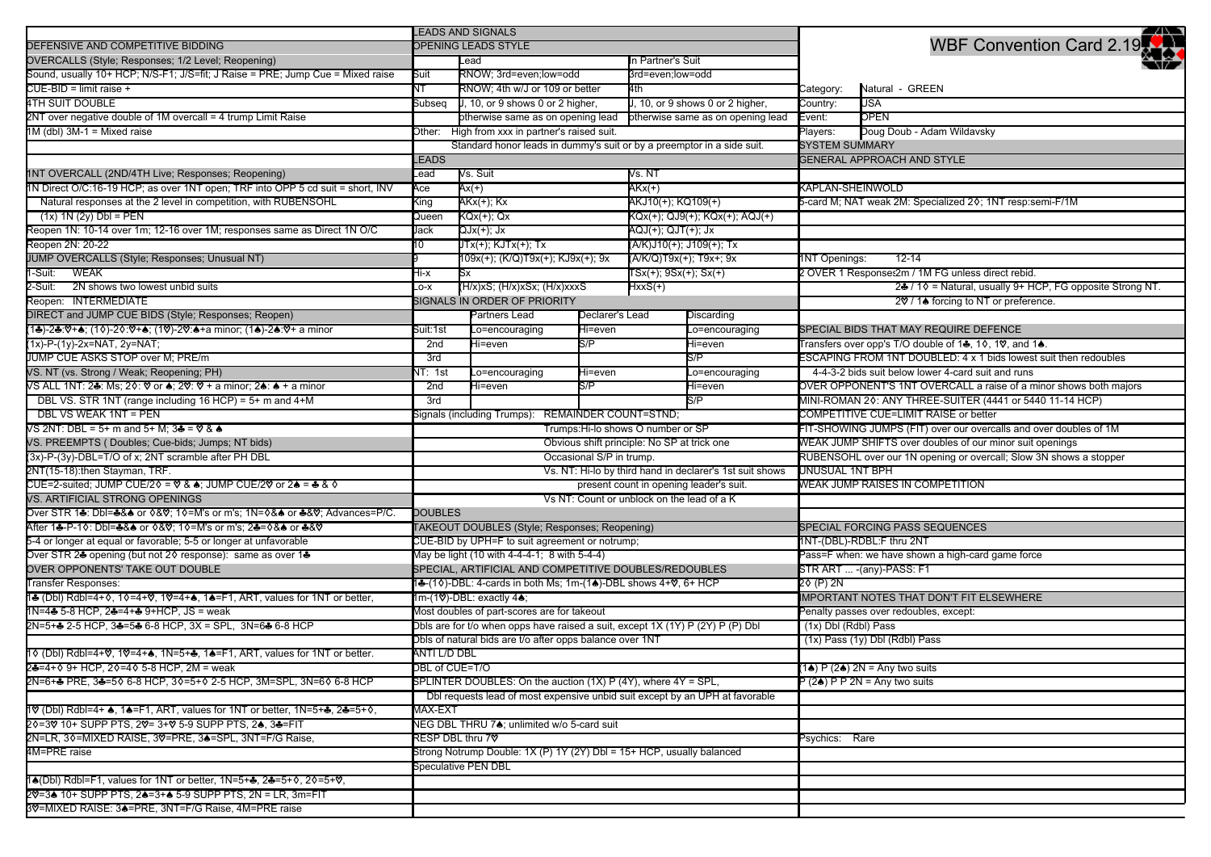|                                                                                                                                     | <b>LEADS AND SIGNALS</b>                                                       |                                                                        |                  |                                   |                       |                                                                   | æ                                                                  |  |
|-------------------------------------------------------------------------------------------------------------------------------------|--------------------------------------------------------------------------------|------------------------------------------------------------------------|------------------|-----------------------------------|-----------------------|-------------------------------------------------------------------|--------------------------------------------------------------------|--|
| DEFENSIVE AND COMPETITIVE BIDDING                                                                                                   | OPENING LEADS STYLE                                                            |                                                                        |                  |                                   |                       |                                                                   | WBF Convention Card 2.19                                           |  |
| OVERCALLS (Style; Responses; 1/2 Level; Reopening)                                                                                  |                                                                                | Lead                                                                   |                  |                                   | In Partner's Suit     |                                                                   |                                                                    |  |
| Sound, usually 10+ HCP; N/S-F1; J/S=fit; J Raise = PRE; Jump Cue = Mixed raise                                                      | Suit                                                                           | RNOW; 3rd=even;low=odd                                                 | 3rd=even;low=odd |                                   |                       |                                                                   |                                                                    |  |
| CUE-BID = limit raise +                                                                                                             | NТ                                                                             | RNOW; 4th w/J or 109 or better                                         |                  |                                   |                       | Category:                                                         | Natural - GREEN                                                    |  |
| <b>4TH SUIT DOUBLE</b>                                                                                                              | Subseq                                                                         | J, 10, or 9 shows 0 or 2 higher,                                       |                  | J, 10, or 9 shows 0 or 2 higher,  |                       | Country:                                                          | USA                                                                |  |
| 2NT over negative double of 1M overcall = 4 trump Limit Raise                                                                       |                                                                                | otherwise same as on opening lead                                      |                  | otherwise same as on opening lead |                       | Event:                                                            | OPEN                                                               |  |
| $1M$ (dbl) $3M-1$ = Mixed raise                                                                                                     |                                                                                | Other: High from xxx in partner's raised suit.                         |                  |                                   |                       |                                                                   | Doug Doub - Adam Wildavsky                                         |  |
|                                                                                                                                     |                                                                                | Standard honor leads in dummy's suit or by a preemptor in a side suit. |                  |                                   |                       | <b>SYSTEM SUMMARY</b>                                             |                                                                    |  |
|                                                                                                                                     | <b>LEADS</b>                                                                   |                                                                        |                  |                                   |                       |                                                                   | <b>GENERAL APPROACH AND STYLE</b>                                  |  |
| 1NT OVERCALL (2ND/4TH Live; Responses; Reopening)                                                                                   | ∟ead                                                                           | Vs. Suit                                                               |                  |                                   | Vs. NT                |                                                                   |                                                                    |  |
| 1N Direct O/C:16-19 HCP; as over 1NT open; TRF into OPP 5 cd suit = short, INV                                                      | Ace                                                                            | Ax(+)                                                                  |                  | $AKx(+)$                          |                       | KAPLAN-SHEINWOLD                                                  |                                                                    |  |
| Natural responses at the 2 level in competition, with RUBENSOHL                                                                     | ing/                                                                           |                                                                        |                  | AKJ10(+); KQ109(+)                |                       |                                                                   | 5-card M; NAT weak 2M: Specialized 20; 1NT resp:semi-F/1M          |  |
| $(1x)$ 1N $(2y)$ Dbl = PEN                                                                                                          | Queen                                                                          |                                                                        |                  | KQx(+); QJ9(+); KQx(+); AQJ(+)    |                       |                                                                   |                                                                    |  |
| Reopen 1N: 10-14 over 1m; 12-16 over 1M; responses same as Direct 1N O/C                                                            | Jack                                                                           | QJx(+);        Jx                                                      |                  |                                   |                       |                                                                   |                                                                    |  |
| Reopen 2N: 20-22                                                                                                                    | 10                                                                             |                                                                        |                  | (A/K)J10(+); J109(+); Tx          |                       |                                                                   |                                                                    |  |
| JUMP OVERCALLS (Style; Responses; Unusual NT)                                                                                       |                                                                                | 109x(+); (K/Q)T9x(+); KJ9x(+); 9x                                      |                  |                                   |                       |                                                                   | <b>1NT Openings:</b><br>12-14                                      |  |
| <b>WEAK</b><br>-Suit:                                                                                                               | x-iH                                                                           |                                                                        |                  |                                   | TSx(+); 9Sx(+); Sx(+) |                                                                   | 2 OVER 1 Responses2m / 1M FG unless direct rebid.                  |  |
| 2-Suit:<br>2N shows two lowest unbid suits                                                                                          | $-0-X$                                                                         | (H/x)xS; (H/x)xSx; (H/x)xxxS                                           |                  | HxxS(+)                           |                       |                                                                   | 24 / 10 = Natural, usually 9+ HCP, FG opposite Strong NT.          |  |
| Reopen: INTERMEDIATE                                                                                                                |                                                                                | SIGNALS IN ORDER OF PRIORITY                                           |                  |                                   |                       |                                                                   | 2♡ / 1▲ forcing to NT or preference.                               |  |
| DIRECT and JUMP CUE BIDS (Style; Responses; Reopen)                                                                                 |                                                                                | Partners Lead                                                          | Declarer's Lead  |                                   | Discarding            |                                                                   |                                                                    |  |
| (1♣)-2♣:♡+♠; (1◊)-2◊:♡+♠; (1♡)-2♡:♠+a minor; (1♠)-2♠:♡+ a minor                                                                     | Suit:1st                                                                       | _o=encouraging                                                         | Hi=even          |                                   | _o=encouraging        |                                                                   | SPECIAL BIDS THAT MAY REQUIRE DEFENCE                              |  |
| (1x)-P-(1y)-2x=NAT, 2y=NAT;                                                                                                         | 2nd                                                                            | Hi=even                                                                | S/P              |                                   | Hi=even               |                                                                   | Transfers over opp's T/O double of 1♣, 10, 1♡, and 1♠.             |  |
| JUMP CUE ASKS STOP over M; PRE/m                                                                                                    | 3rd                                                                            |                                                                        |                  |                                   | S/P                   |                                                                   | ESCAPING FROM 1NT DOUBLED: 4 x 1 bids lowest suit then redoubles   |  |
| VS. NT (vs. Strong / Weak; Reopening; PH)                                                                                           | NT: 1st                                                                        | _o=encouraging                                                         | Hi=even          |                                   | _o=encouraging        | 4-4-3-2 bids suit below lower 4-card suit and runs                |                                                                    |  |
| VS ALL 1NT: 2♣: Ms: 2◊: ♡ or ♠: 2♡: ♡ + a minor: 2♠: ♠ + a minor                                                                    | 2nd                                                                            | Hi=even                                                                | S/P              |                                   | Hi=even               | OVER OPPONENT'S 1NT OVERCALL a raise of a minor shows both majors |                                                                    |  |
| DBL VS. STR 1NT (range including 16 HCP) = 5+ m and 4+M                                                                             | 3rd                                                                            |                                                                        |                  |                                   | S/P                   |                                                                   | MINI-ROMAN 20: ANY THREE-SUITER (4441 or 5440 11-14 HCP)           |  |
| <b>DBL VS WEAK 1NT = PEN</b>                                                                                                        | Signals (including Trumps): REMAINDER COUNT=STND;                              |                                                                        |                  |                                   |                       |                                                                   | COMPETITIVE CUE=LIMIT RAISE or better                              |  |
| VS 2NT: DBL = 5+ m and 5+ M: 3♣ = ♡ & ♠                                                                                             | Trumps: Hi-lo shows O number or SP                                             |                                                                        |                  |                                   |                       |                                                                   | FIT-SHOWING JUMPS (FIT) over our overcalls and over doubles of 1M  |  |
| VS. PREEMPTS (Doubles; Cue-bids; Jumps; NT bids)                                                                                    | Obvious shift principle: No SP at trick one                                    |                                                                        |                  |                                   |                       |                                                                   | WEAK JUMP SHIFTS over doubles of our minor suit openings           |  |
| (3x)-P-(3y)-DBL=T/O of x; 2NT scramble after PH DBL                                                                                 | Occasional S/P in trump.                                                       |                                                                        |                  |                                   |                       |                                                                   | RUBENSOHL over our 1N opening or overcall; Slow 3N shows a stopper |  |
| 2NT(15-18):then Stayman, TRF.                                                                                                       | Vs. NT: Hi-lo by third hand in declarer's 1st suit shows                       |                                                                        |                  |                                   |                       |                                                                   | UNUSUAL 1NT BPH                                                    |  |
| CUE=2-suited; JUMP CUE/2♦ = ♡ & ♠; JUMP CUE/2♡ or 2♠ = ♣ & ♦                                                                        | present count in opening leader's suit.                                        |                                                                        |                  |                                   |                       |                                                                   | WEAK JUMP RAISES IN COMPETITION                                    |  |
| VS. ARTIFICIAL STRONG OPENINGS                                                                                                      | Vs NT: Count or unblock on the lead of a K                                     |                                                                        |                  |                                   |                       |                                                                   |                                                                    |  |
| Over STR 1♣: Dbl=♣&♠ or ◊&♡; 1◊=M's or m's; 1N=◊&♠ or ♣&♡; Advances=P/C.                                                            | <b>DOUBLES</b>                                                                 |                                                                        |                  |                                   |                       |                                                                   |                                                                    |  |
| After 1♣-P-1◊: Dbl=♣&♠ or ◊&♡; 1◊=M's or m's; 2♣=◊&♠ or ♣&♡                                                                         | <b>FAKEOUT DOUBLES (Style; Responses; Reopening)</b>                           |                                                                        |                  |                                   |                       |                                                                   | SPECIAL FORCING PASS SEQUENCES                                     |  |
| 5-4 or longer at equal or favorable; 5-5 or longer at unfavorable                                                                   | CUE-BID by UPH=F to suit agreement or notrump;                                 |                                                                        |                  |                                   |                       |                                                                   | 1NT-(DBL)-RDBL:F thru 2NT                                          |  |
| Over STR 24 opening (but not 20 response): same as over 14                                                                          | May be light (10 with 4-4-4-1; 8 with 5-4-4)                                   |                                                                        |                  |                                   |                       |                                                                   | Pass=F when: we have shown a high-card game force                  |  |
| OVER OPPONENTS' TAKE OUT DOUBLE                                                                                                     | SPECIAL, ARTIFICIAL AND COMPETITIVE DOUBLES/REDOUBLES                          |                                                                        |                  |                                   |                       |                                                                   | STR ART  -(any)-PASS: F1                                           |  |
| <b>Transfer Responses:</b>                                                                                                          | 14-(10)-DBL: 4-cards in both Ms; 1m-(14)-DBL shows 4+0, 6+ HCP                 |                                                                        |                  |                                   |                       | $20(P)$ 2N                                                        |                                                                    |  |
| 14 (Dbl) Rdbl=4+0, 10=4+0, 10=4+4, 14=F1, ART, values for 1NT or better,                                                            | 1m-(1♡)-DBL: exactly 4▲;                                                       |                                                                        |                  |                                   |                       |                                                                   | MPORTANT NOTES THAT DON'T FIT ELSEWHERE                            |  |
| 1N=4♣ 5-8 HCP, 2♣=4+♣ 9+HCP, JS = weak                                                                                              | Most doubles of part-scores are for takeout                                    |                                                                        |                  |                                   |                       |                                                                   | Penalty passes over redoubles, except:                             |  |
| 2N=5+♣ 2-5 HCP, 3♣=5♣ 6-8 HCP, 3X = SPL, 3N=6♣ 6-8 HCP                                                                              | Dbls are for t/o when opps have raised a suit, except 1X (1Y) P (2Y) P (P) Dbl |                                                                        |                  |                                   |                       | (1x) Dbl (Rdbl) Pass                                              |                                                                    |  |
|                                                                                                                                     |                                                                                |                                                                        |                  |                                   |                       |                                                                   | (1x) Pass (1y) Dbl (Rdbl) Pass                                     |  |
| 1 ◊ (Dbl) Rdbl=4+♡, 1♡=4+▲, 1N=5+♣, 1▲=F1, ART, values for 1NT or better.                                                           | Dbls of natural bids are t/o after opps balance over 1NT<br>ANTI L/D DBL       |                                                                        |                  |                                   |                       |                                                                   |                                                                    |  |
| 2♣=4+◊ 9+ HCP, 2◊=4◊ 5-8 HCP, 2M = weak                                                                                             | DBL of CUE=T/O                                                                 |                                                                        |                  |                                   |                       |                                                                   | $(1\spadesuit)$ P $(2\spadesuit)$ 2N = Any two suits               |  |
| 2N=6+♣ PRE, 3♣=5♦ 6-8 HCP, 3♦=5+♦ 2-5 HCP, 3M=SPL, 3N=6♦ 6-8 HCP                                                                    | SPLINTER DOUBLES: On the auction (1X) P (4Y), where 4Y = SPL,                  |                                                                        |                  |                                   |                       | $P(2\spadesuit)$ P P 2N = Any two suits                           |                                                                    |  |
|                                                                                                                                     | Dbl requests lead of most expensive unbid suit except by an UPH at favorable   |                                                                        |                  |                                   |                       |                                                                   |                                                                    |  |
| 10 (Dbl) Rdbl=4+ $\clubsuit$ , 1 $\clubsuit$ =F1, ART, values for 1NT or better, 1N=5+ $\clubsuit$ , 2 $\clubsuit$ =5+ $\lozenge$ , | <b>MAX-EXT</b>                                                                 |                                                                        |                  |                                   |                       |                                                                   |                                                                    |  |
| 20=30 10+ SUPP PTS, 20= 3+0 5-9 SUPP PTS, 24, 3♣=FIT                                                                                | NEG DBL THRU 7♠; unlimited w/o 5-card suit                                     |                                                                        |                  |                                   |                       |                                                                   |                                                                    |  |
| 2N=LR, 30=MIXED RAISE, 30=PRE, 3▲=SPL, 3NT=F/G Raise,                                                                               | RESP DBL thru 70                                                               |                                                                        |                  |                                   |                       |                                                                   | Psychics: Rare                                                     |  |
| 4M=PRE raise                                                                                                                        |                                                                                | Strong Notrump Double: 1X (P) 1Y (2Y) Dbl = 15+ HCP, usually balanced  |                  |                                   |                       |                                                                   |                                                                    |  |
|                                                                                                                                     | <b>Speculative PEN DBL</b>                                                     |                                                                        |                  |                                   |                       |                                                                   |                                                                    |  |
| 1▲(Dbl) Rdbl=F1, values for 1NT or better, 1N=5+♣, 2♣=5+◊, 2◊=5+♡,                                                                  |                                                                                |                                                                        |                  |                                   |                       |                                                                   |                                                                    |  |
| 20 = 3▲ 10+ SUPP PTS, 2▲ = 3+ ▲ 5-9 SUPP PTS, 2N = LR, 3m = FIT                                                                     |                                                                                |                                                                        |                  |                                   |                       |                                                                   |                                                                    |  |
| 3V=MIXED RAISE: 3▲=PRE, 3NT=F/G Raise, 4M=PRE raise                                                                                 |                                                                                |                                                                        |                  |                                   |                       |                                                                   |                                                                    |  |
|                                                                                                                                     |                                                                                |                                                                        |                  |                                   |                       |                                                                   |                                                                    |  |